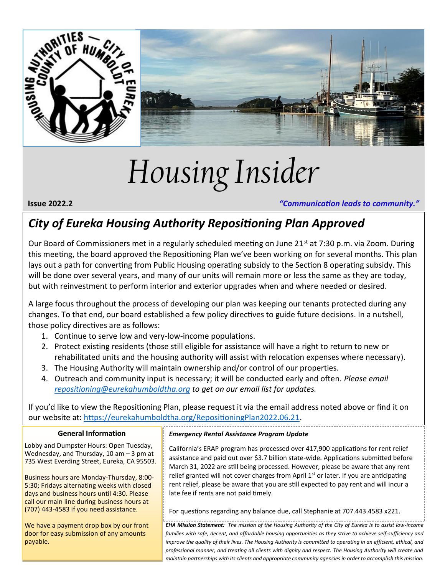



# *Housing Insider*

**Issue 2022.2** *"Communication leads to community."*

# *City of Eureka Housing Authority Repositioning Plan Approved*

Our Board of Commissioners met in a regularly scheduled meeting on June 21<sup>st</sup> at 7:30 p.m. via Zoom. During this meeting, the board approved the Repositioning Plan we've been working on for several months. This plan lays out a path for converting from Public Housing operating subsidy to the Section 8 operating subsidy. This will be done over several years, and many of our units will remain more or less the same as they are today, but with reinvestment to perform interior and exterior upgrades when and where needed or desired.

A large focus throughout the process of developing our plan was keeping our tenants protected during any changes. To that end, our board established a few policy directives to guide future decisions. In a nutshell, those policy directives are as follows:

- 1. Continue to serve low and very-low-income populations.
- 2. Protect existing residents (those still eligible for assistance will have a right to return to new or rehabilitated units and the housing authority will assist with relocation expenses where necessary).
- 3. The Housing Authority will maintain ownership and/or control of our properties.
- 4. Outreach and community input is necessary; it will be conducted early and often. *Please email [repositioning@eurekahumboldtha.org](mailto:repositioning@eurekahumboldtha.org) to get on our email list for updates.*

If you'd like to view the Repositioning Plan, please request it via the email address noted above or find it on our website at: [https://eurekahumboldtha.org/RepositioningPlan2022.06.21.](https://eurekahumboldtha.org/RepositioningPlan2022.06.21)

### **General Information**

Lobby and Dumpster Hours: Open Tuesday, Wednesday, and Thursday, 10 am – 3 pm at 735 West Everding Street, Eureka, CA 95503.

Business hours are Monday-Thursday, 8:00- 5:30; Fridays alternating weeks with closed days and business hours until 4:30. Please call our main line during business hours at (707) 443-4583 if you need assistance.

We have a payment drop box by our front door for easy submission of any amounts payable.

### *Emergency Rental Assistance Program Update*

California's ERAP program has processed over 417,900 applications for rent relief assistance and paid out over \$3.7 billion state-wide. Applications submitted before March 31, 2022 are still being processed. However, please be aware that any rent relief granted will not cover charges from April  $1<sup>st</sup>$  or later. If you are anticipating rent relief, please be aware that you are still expected to pay rent and will incur a late fee if rents are not paid timely.

For questions regarding any balance due, call Stephanie at 707.443.4583 x221.

*EHA Mission Statement: The mission of the Housing Authority of the City of Eureka is to assist low-income families with safe, decent, and affordable housing opportunities as they strive to achieve self-sufficiency and improve the quality of their lives. The Housing Authority is committed to operating in an efficient, ethical, and professional manner, and treating all clients with dignity and respect. The Housing Authority will create and maintain partnerships with its clients and appropriate community agencies in order to accomplish this mission.*